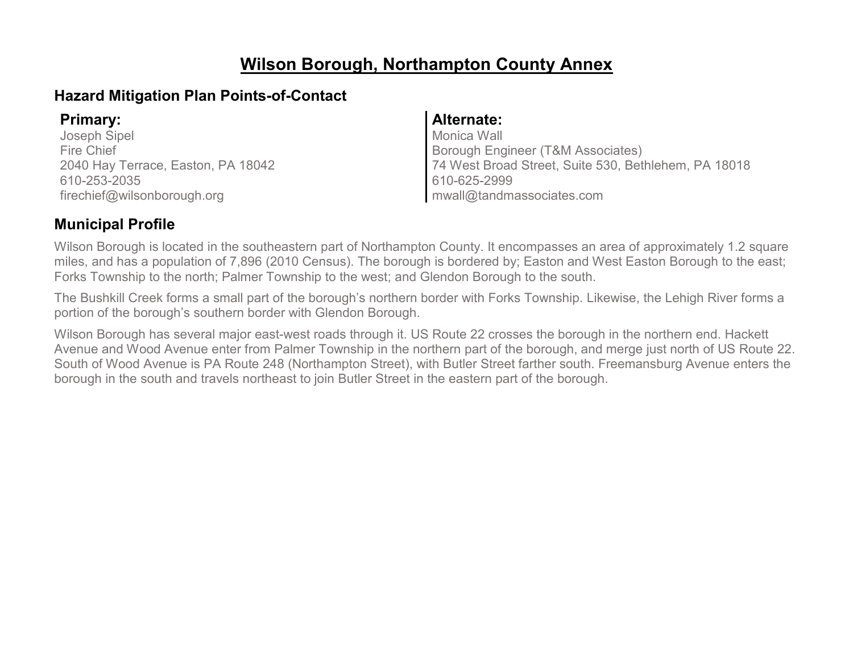# **Wilson Borough, Northampton County Annex**

### **Hazard Mitigation Plan Points-of-Contact**

Joseph Sipel Fire Chief 2040 Hay Terrace, Easton, PA 18042 610-253-2035 firechief@wilsonborough.org

#### **Primary: Alternate:**

Monica Wall Borough Engineer (T&M Associates) 74 West Broad Street, Suite 530, Bethlehem, PA 18018 610-625-2999 mwall@tandmassociates.com

### **Municipal Profile**

Wilson Borough is located in the southeastern part of Northampton County. It encompasses an area of approximately 1.2 square miles, and has a population of 7,896 (2010 Census). The borough is bordered by; Easton and West Easton Borough to the east; Forks Township to the north; Palmer Township to the west; and Glendon Borough to the south.

The Bushkill Creek forms a small part of the borough's northern border with Forks Township. Likewise, the Lehigh River forms a portion of the borough's southern border with Glendon Borough.

Wilson Borough has several major east-west roads through it. US Route 22 crosses the borough in the northern end. Hackett Avenue and Wood Avenue enter from Palmer Township in the northern part of the borough, and merge just north of US Route 22. South of Wood Avenue is PA Route 248 (Northampton Street), with Butler Street farther south. Freemansburg Avenue enters the borough in the south and travels northeast to join Butler Street in the eastern part of the borough.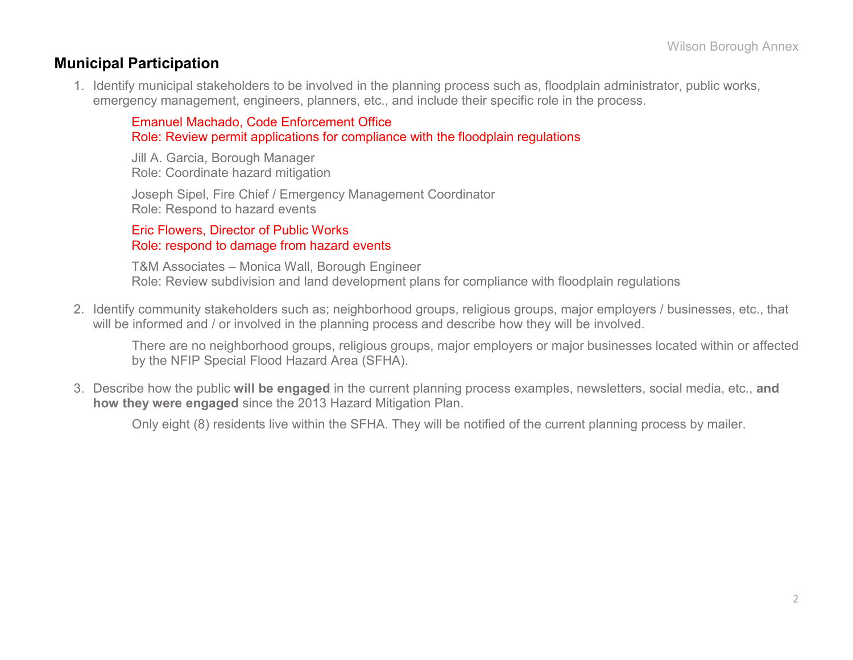### **Municipal Participation**

1. Identify municipal stakeholders to be involved in the planning process such as, floodplain administrator, public works, emergency management, engineers, planners, etc., and include their specific role in the process.

Emanuel Machado, Code Enforcement Office Role: Review permit applications for compliance with the floodplain regulations

Jill A. Garcia, Borough Manager Role: Coordinate hazard mitigation

Joseph Sipel, Fire Chief / Emergency Management Coordinator Role: Respond to hazard events

#### Eric Flowers, Director of Public Works Role: respond to damage from hazard events

T&M Associates – Monica Wall, Borough Engineer Role: Review subdivision and land development plans for compliance with floodplain regulations

2. Identify community stakeholders such as; neighborhood groups, religious groups, major employers / businesses, etc., that will be informed and / or involved in the planning process and describe how they will be involved.

There are no neighborhood groups, religious groups, major employers or major businesses located within or affected by the NFIP Special Flood Hazard Area (SFHA).

3. Describe how the public **will be engaged** in the current planning process examples, newsletters, social media, etc., **and how they were engaged** since the 2013 Hazard Mitigation Plan.

Only eight (8) residents live within the SFHA. They will be notified of the current planning process by mailer.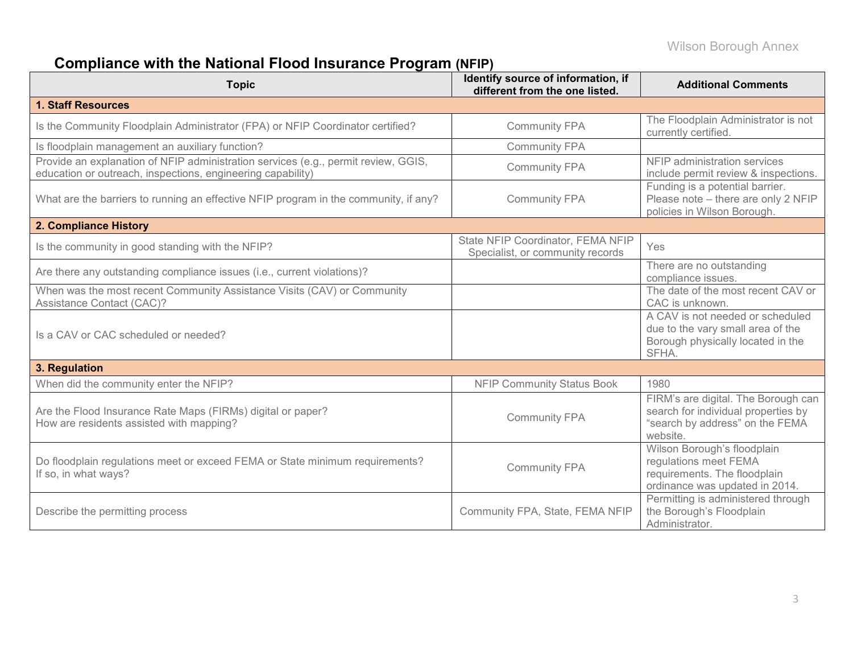# **Compliance with the National Flood Insurance Program (NFIP)**

| <b>Topic</b>                                                                                                                                      | Identify source of information, if<br>different from the one listed.  | <b>Additional Comments</b>                                                                                                |  |  |
|---------------------------------------------------------------------------------------------------------------------------------------------------|-----------------------------------------------------------------------|---------------------------------------------------------------------------------------------------------------------------|--|--|
| <b>1. Staff Resources</b>                                                                                                                         |                                                                       |                                                                                                                           |  |  |
| Is the Community Floodplain Administrator (FPA) or NFIP Coordinator certified?                                                                    | <b>Community FPA</b>                                                  | The Floodplain Administrator is not<br>currently certified.                                                               |  |  |
| Is floodplain management an auxiliary function?                                                                                                   | <b>Community FPA</b>                                                  |                                                                                                                           |  |  |
| Provide an explanation of NFIP administration services (e.g., permit review, GGIS,<br>education or outreach, inspections, engineering capability) | <b>Community FPA</b>                                                  | NFIP administration services<br>include permit review & inspections.                                                      |  |  |
| What are the barriers to running an effective NFIP program in the community, if any?                                                              | <b>Community FPA</b>                                                  | Funding is a potential barrier.<br>Please note - there are only 2 NFIP<br>policies in Wilson Borough.                     |  |  |
| 2. Compliance History                                                                                                                             |                                                                       |                                                                                                                           |  |  |
| Is the community in good standing with the NFIP?                                                                                                  | State NFIP Coordinator, FEMA NFIP<br>Specialist, or community records | Yes                                                                                                                       |  |  |
| Are there any outstanding compliance issues (i.e., current violations)?                                                                           |                                                                       | There are no outstanding<br>compliance issues.                                                                            |  |  |
| When was the most recent Community Assistance Visits (CAV) or Community<br>Assistance Contact (CAC)?                                              |                                                                       | The date of the most recent CAV or<br>CAC is unknown.                                                                     |  |  |
| Is a CAV or CAC scheduled or needed?                                                                                                              |                                                                       | A CAV is not needed or scheduled<br>due to the vary small area of the<br>Borough physically located in the<br>SFHA.       |  |  |
| 3. Regulation                                                                                                                                     |                                                                       |                                                                                                                           |  |  |
| When did the community enter the NFIP?                                                                                                            | <b>NFIP Community Status Book</b>                                     | 1980                                                                                                                      |  |  |
| Are the Flood Insurance Rate Maps (FIRMs) digital or paper?<br>How are residents assisted with mapping?                                           | <b>Community FPA</b>                                                  | FIRM's are digital. The Borough can<br>search for individual properties by<br>"search by address" on the FEMA<br>website. |  |  |
| Do floodplain regulations meet or exceed FEMA or State minimum requirements?<br>If so, in what ways?                                              | <b>Community FPA</b>                                                  | Wilson Borough's floodplain<br>regulations meet FEMA<br>requirements. The floodplain<br>ordinance was updated in 2014.    |  |  |
| Describe the permitting process                                                                                                                   | Community FPA, State, FEMA NFIP                                       | Permitting is administered through<br>the Borough's Floodplain<br>Administrator.                                          |  |  |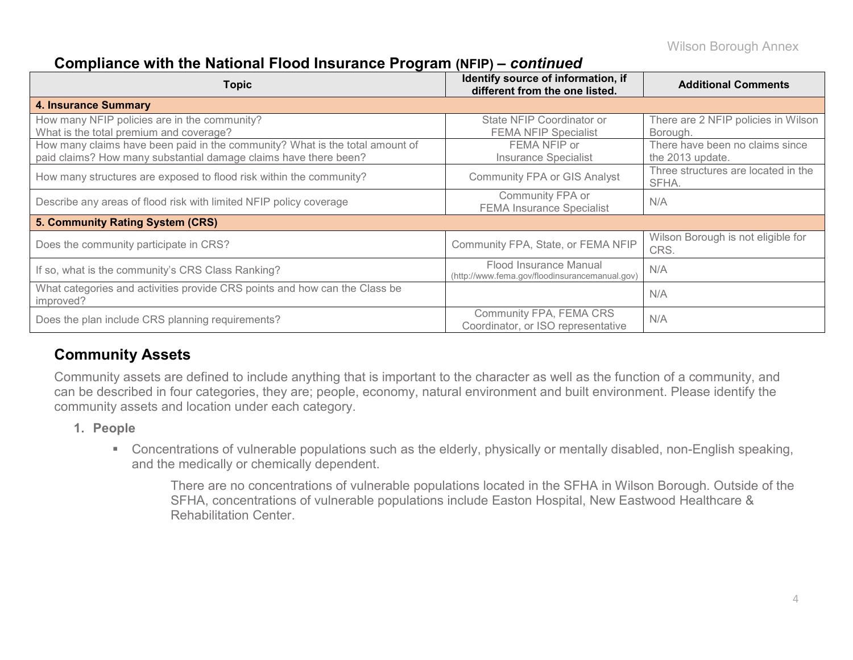### **Compliance with the National Flood Insurance Program (NFIP) –** *continued*

| Topic                                                                                                                                            | Identify source of information, if<br>different from the one listed.     | <b>Additional Comments</b>                          |
|--------------------------------------------------------------------------------------------------------------------------------------------------|--------------------------------------------------------------------------|-----------------------------------------------------|
| <b>4. Insurance Summary</b>                                                                                                                      |                                                                          |                                                     |
| How many NFIP policies are in the community?<br>What is the total premium and coverage?                                                          | State NFIP Coordinator or<br><b>FEMA NFIP Specialist</b>                 | There are 2 NFIP policies in Wilson<br>Borough.     |
| How many claims have been paid in the community? What is the total amount of<br>paid claims? How many substantial damage claims have there been? | FEMA NFIP or<br><b>Insurance Specialist</b>                              | There have been no claims since<br>the 2013 update. |
| How many structures are exposed to flood risk within the community?                                                                              | <b>Community FPA or GIS Analyst</b>                                      | Three structures are located in the<br>SFHA.        |
| Describe any areas of flood risk with limited NFIP policy coverage                                                                               | Community FPA or<br><b>FEMA Insurance Specialist</b>                     | N/A                                                 |
| 5. Community Rating System (CRS)                                                                                                                 |                                                                          |                                                     |
| Does the community participate in CRS?                                                                                                           | Community FPA, State, or FEMA NFIP                                       | Wilson Borough is not eligible for<br>CRS.          |
| If so, what is the community's CRS Class Ranking?                                                                                                | Flood Insurance Manual<br>(http://www.fema.gov/floodinsurancemanual.gov) | N/A                                                 |
| What categories and activities provide CRS points and how can the Class be<br>improved?                                                          |                                                                          | N/A                                                 |
| Does the plan include CRS planning requirements?                                                                                                 | Community FPA, FEMA CRS<br>Coordinator, or ISO representative            | N/A                                                 |

### **Community Assets**

Community assets are defined to include anything that is important to the character as well as the function of a community, and can be described in four categories, they are; people, economy, natural environment and built environment. Please identify the community assets and location under each category.

#### **1. People**

 Concentrations of vulnerable populations such as the elderly, physically or mentally disabled, non-English speaking, and the medically or chemically dependent.

There are no concentrations of vulnerable populations located in the SFHA in Wilson Borough. Outside of the SFHA, concentrations of vulnerable populations include Easton Hospital, New Eastwood Healthcare & Rehabilitation Center.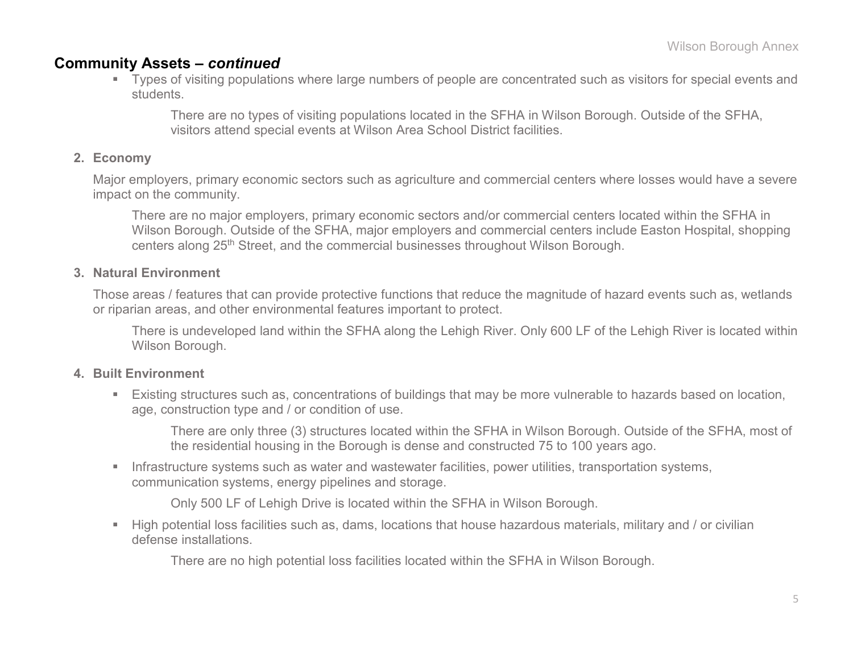### **Community Assets –** *continued*

 Types of visiting populations where large numbers of people are concentrated such as visitors for special events and students.

There are no types of visiting populations located in the SFHA in Wilson Borough. Outside of the SFHA, visitors attend special events at Wilson Area School District facilities.

#### **2. Economy**

Major employers, primary economic sectors such as agriculture and commercial centers where losses would have a severe impact on the community.

There are no major employers, primary economic sectors and/or commercial centers located within the SFHA in Wilson Borough. Outside of the SFHA, major employers and commercial centers include Easton Hospital, shopping centers along 25th Street, and the commercial businesses throughout Wilson Borough.

#### **3. Natural Environment**

Those areas / features that can provide protective functions that reduce the magnitude of hazard events such as, wetlands or riparian areas, and other environmental features important to protect.

There is undeveloped land within the SFHA along the Lehigh River. Only 600 LF of the Lehigh River is located within Wilson Borough.

#### **4. Built Environment**

 Existing structures such as, concentrations of buildings that may be more vulnerable to hazards based on location, age, construction type and / or condition of use.

There are only three (3) structures located within the SFHA in Wilson Borough. Outside of the SFHA, most of the residential housing in the Borough is dense and constructed 75 to 100 years ago.

**Infrastructure systems such as water and wastewater facilities, power utilities, transportation systems,** communication systems, energy pipelines and storage.

Only 500 LF of Lehigh Drive is located within the SFHA in Wilson Borough.

 High potential loss facilities such as, dams, locations that house hazardous materials, military and / or civilian defense installations.

There are no high potential loss facilities located within the SFHA in Wilson Borough.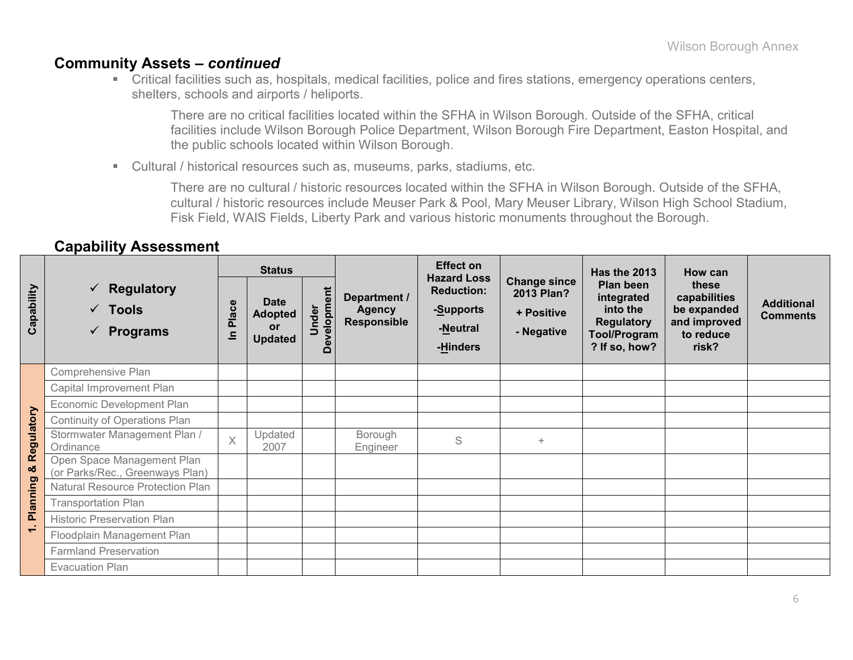### **Community Assets –** *continued*

 Critical facilities such as, hospitals, medical facilities, police and fires stations, emergency operations centers, shelters, schools and airports / heliports.

There are no critical facilities located within the SFHA in Wilson Borough. Outside of the SFHA, critical facilities include Wilson Borough Police Department, Wilson Borough Fire Department, Easton Hospital, and the public schools located within Wilson Borough.

Cultural / historical resources such as, museums, parks, stadiums, etc.

There are no cultural / historic resources located within the SFHA in Wilson Borough. Outside of the SFHA, cultural / historic resources include Meuser Park & Pool, Mary Meuser Library, Wilson High School Stadium, Fisk Field, WAIS Fields, Liberty Park and various historic monuments throughout the Borough.

#### **Capability Assessment**

|                          |                                                                        |                                                                                                                                             | <b>Status</b>   |                                                                              | <b>Effect on</b>                                              |                                                                                                  | Has the 2013                                                               | How can                              |  |
|--------------------------|------------------------------------------------------------------------|---------------------------------------------------------------------------------------------------------------------------------------------|-----------------|------------------------------------------------------------------------------|---------------------------------------------------------------|--------------------------------------------------------------------------------------------------|----------------------------------------------------------------------------|--------------------------------------|--|
| Capability               | $\checkmark$ Regulatory<br>$\checkmark$ Tools<br>$\checkmark$ Programs | Development<br>Department /<br><b>Date</b><br>Place<br>Under<br><b>Agency</b><br><b>Adopted</b><br>Responsible<br>or<br>르<br><b>Updated</b> |                 | <b>Hazard Loss</b><br><b>Reduction:</b><br>-Supports<br>-Neutral<br>-Hinders | <b>Change since</b><br>2013 Plan?<br>+ Positive<br>- Negative | Plan been<br>integrated<br>into the<br><b>Regulatory</b><br><b>Tool/Program</b><br>? If so, how? | these<br>capabilities<br>be expanded<br>and improved<br>to reduce<br>risk? | <b>Additional</b><br><b>Comments</b> |  |
|                          | Comprehensive Plan                                                     |                                                                                                                                             |                 |                                                                              |                                                               |                                                                                                  |                                                                            |                                      |  |
|                          | Capital Improvement Plan                                               |                                                                                                                                             |                 |                                                                              |                                                               |                                                                                                  |                                                                            |                                      |  |
|                          | Economic Development Plan                                              |                                                                                                                                             |                 |                                                                              |                                                               |                                                                                                  |                                                                            |                                      |  |
| ulatory                  | Continuity of Operations Plan                                          |                                                                                                                                             |                 |                                                                              |                                                               |                                                                                                  |                                                                            |                                      |  |
|                          | Stormwater Management Plan /<br>Ordinance                              | $\overline{X}$                                                                                                                              | Updated<br>2007 | Borough<br>Engineer                                                          | S                                                             | $+$                                                                                              |                                                                            |                                      |  |
| & Regi                   | Open Space Management Plan<br>(or Parks/Rec., Greenways Plan)          |                                                                                                                                             |                 |                                                                              |                                                               |                                                                                                  |                                                                            |                                      |  |
|                          | Natural Resource Protection Plan                                       |                                                                                                                                             |                 |                                                                              |                                                               |                                                                                                  |                                                                            |                                      |  |
| Planning                 | <b>Transportation Plan</b>                                             |                                                                                                                                             |                 |                                                                              |                                                               |                                                                                                  |                                                                            |                                      |  |
| - 4                      | <b>Historic Preservation Plan</b>                                      |                                                                                                                                             |                 |                                                                              |                                                               |                                                                                                  |                                                                            |                                      |  |
| $\overline{\phantom{0}}$ | Floodplain Management Plan                                             |                                                                                                                                             |                 |                                                                              |                                                               |                                                                                                  |                                                                            |                                      |  |
|                          | <b>Farmland Preservation</b>                                           |                                                                                                                                             |                 |                                                                              |                                                               |                                                                                                  |                                                                            |                                      |  |
|                          | <b>Evacuation Plan</b>                                                 |                                                                                                                                             |                 |                                                                              |                                                               |                                                                                                  |                                                                            |                                      |  |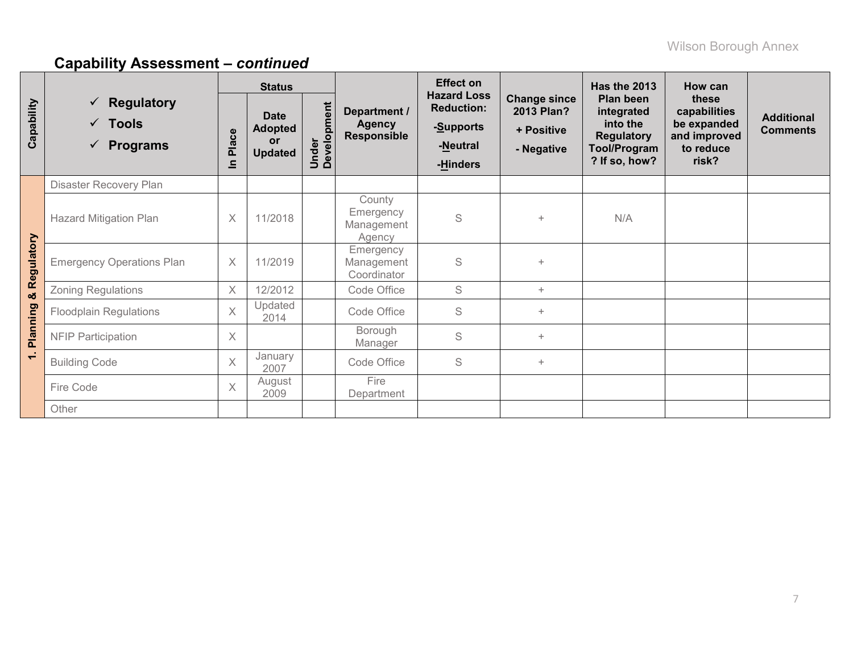|                | <b>Status</b><br>$\checkmark$ Regulatory<br>Under<br>Development<br>Department /<br><b>Date</b><br>$\checkmark$ Tools<br><b>Agency</b><br><b>Adopted</b><br>Place<br><b>Responsible</b><br><b>or</b><br>$\checkmark$ Programs<br><b>Updated</b><br>드 |                |                                                                              |                                                               | <b>Effect on</b>                                                                                 |                                                                            | <b>Has the 2013</b>                  | How can |  |
|----------------|------------------------------------------------------------------------------------------------------------------------------------------------------------------------------------------------------------------------------------------------------|----------------|------------------------------------------------------------------------------|---------------------------------------------------------------|--------------------------------------------------------------------------------------------------|----------------------------------------------------------------------------|--------------------------------------|---------|--|
| Capability     |                                                                                                                                                                                                                                                      |                | <b>Hazard Loss</b><br><b>Reduction:</b><br>-Supports<br>-Neutral<br>-Hinders | <b>Change since</b><br>2013 Plan?<br>+ Positive<br>- Negative | Plan been<br>integrated<br>into the<br><b>Regulatory</b><br><b>Tool/Program</b><br>? If so, how? | these<br>capabilities<br>be expanded<br>and improved<br>to reduce<br>risk? | <b>Additional</b><br><b>Comments</b> |         |  |
|                | Disaster Recovery Plan                                                                                                                                                                                                                               |                |                                                                              |                                                               |                                                                                                  |                                                                            |                                      |         |  |
|                | <b>Hazard Mitigation Plan</b>                                                                                                                                                                                                                        | $\times$       | 11/2018                                                                      | County<br>Emergency<br>Management<br>Agency                   | S                                                                                                | $\ddot{}$                                                                  | N/A                                  |         |  |
| Regulatory     | <b>Emergency Operations Plan</b>                                                                                                                                                                                                                     | $\times$       | 11/2019                                                                      | Emergency<br>Management<br>Coordinator                        | S                                                                                                | $+$                                                                        |                                      |         |  |
| oð             | <b>Zoning Regulations</b>                                                                                                                                                                                                                            | $\times$       | 12/2012                                                                      | Code Office                                                   | S                                                                                                | $+$                                                                        |                                      |         |  |
|                | <b>Floodplain Regulations</b>                                                                                                                                                                                                                        | $\overline{X}$ | Updated<br>2014                                                              | Code Office                                                   | S                                                                                                | $\ddot{}$                                                                  |                                      |         |  |
| Planning       | <b>NFIP Participation</b>                                                                                                                                                                                                                            | $\times$       |                                                                              | Borough<br>Manager                                            | S                                                                                                | $+$                                                                        |                                      |         |  |
| $\overline{ }$ | <b>Building Code</b>                                                                                                                                                                                                                                 | $\times$       | January<br>2007                                                              | Code Office                                                   | S                                                                                                | $+$                                                                        |                                      |         |  |
|                | Fire Code                                                                                                                                                                                                                                            | $\times$       | August<br>2009                                                               | Fire<br>Department                                            |                                                                                                  |                                                                            |                                      |         |  |
|                | Other                                                                                                                                                                                                                                                |                |                                                                              |                                                               |                                                                                                  |                                                                            |                                      |         |  |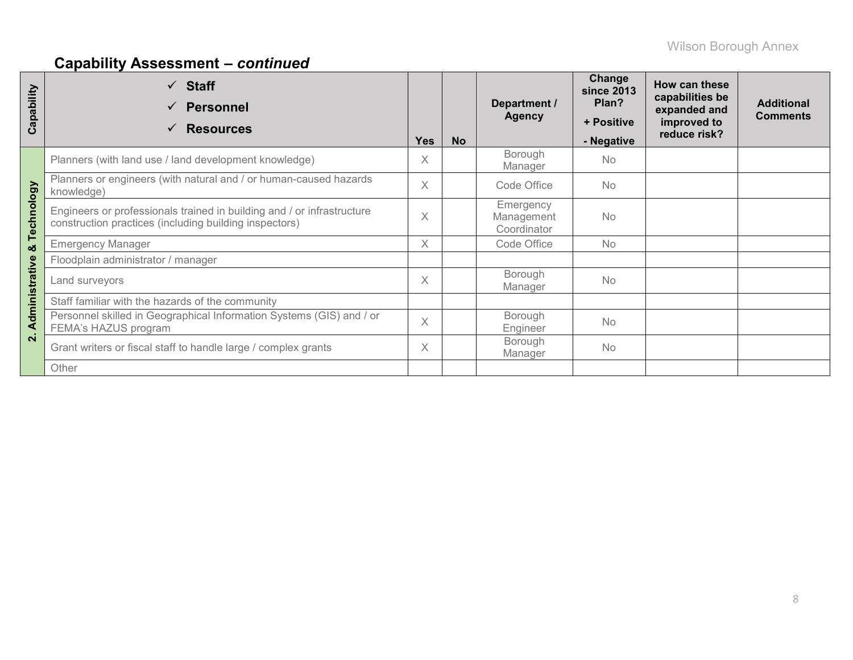| apability<br>ပ | $\checkmark$ Staff<br><b>Personnel</b><br>$\checkmark$<br><b>Resources</b><br>✓                                                  | <b>Yes</b> | <b>No</b> | Department /<br><b>Agency</b>          | Change<br><b>since 2013</b><br>Plan?<br>+ Positive<br>- Negative | How can these<br>capabilities be<br>expanded and<br>improved to<br>reduce risk? | <b>Additional</b><br><b>Comments</b> |
|----------------|----------------------------------------------------------------------------------------------------------------------------------|------------|-----------|----------------------------------------|------------------------------------------------------------------|---------------------------------------------------------------------------------|--------------------------------------|
|                | Planners (with land use / land development knowledge)                                                                            | X          |           | Borough<br>Manager                     | <b>No</b>                                                        |                                                                                 |                                      |
|                | Planners or engineers (with natural and / or human-caused hazards<br>knowledge)                                                  | $\times$   |           | Code Office                            | <b>No</b>                                                        |                                                                                 |                                      |
| Technology     | Engineers or professionals trained in building and / or infrastructure<br>construction practices (including building inspectors) | X          |           | Emergency<br>Management<br>Coordinator | <b>No</b>                                                        |                                                                                 |                                      |
| οð             | <b>Emergency Manager</b>                                                                                                         | X          |           | Code Office                            | <b>No</b>                                                        |                                                                                 |                                      |
|                | Floodplain administrator / manager                                                                                               |            |           |                                        |                                                                  |                                                                                 |                                      |
| Administrative | Land surveyors                                                                                                                   | $\times$   |           | Borough<br>Manager                     | <b>No</b>                                                        |                                                                                 |                                      |
|                | Staff familiar with the hazards of the community                                                                                 |            |           |                                        |                                                                  |                                                                                 |                                      |
|                | Personnel skilled in Geographical Information Systems (GIS) and / or<br>FEMA's HAZUS program                                     | $\times$   |           | Borough<br>Engineer                    | <b>No</b>                                                        |                                                                                 |                                      |
| $\mathbf{N}$   | Grant writers or fiscal staff to handle large / complex grants                                                                   | $\times$   |           | Borough<br>Manager                     | <b>No</b>                                                        |                                                                                 |                                      |
|                | Other                                                                                                                            |            |           |                                        |                                                                  |                                                                                 |                                      |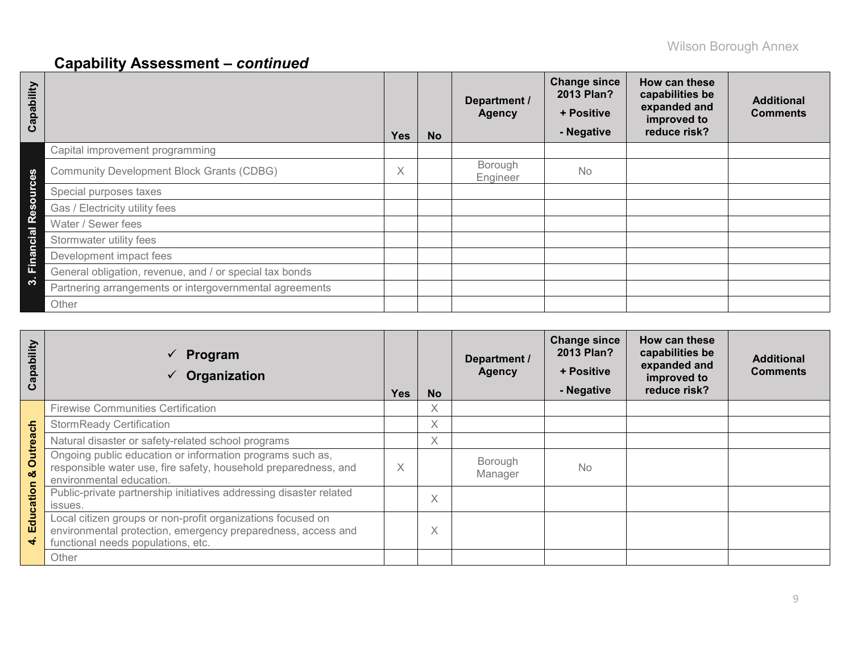| Capability                 |                                                         | <b>Yes</b>                         | <b>No</b> | Department /<br><b>Agency</b> | <b>Change since</b><br>2013 Plan?<br>+ Positive<br>- Negative | How can these<br>capabilities be<br>expanded and<br>improved to<br>reduce risk? | <b>Additional</b><br><b>Comments</b> |
|----------------------------|---------------------------------------------------------|------------------------------------|-----------|-------------------------------|---------------------------------------------------------------|---------------------------------------------------------------------------------|--------------------------------------|
|                            | Capital improvement programming                         |                                    |           |                               |                                                               |                                                                                 |                                      |
| ഗ<br>$\epsilon$            | <b>Community Development Block Grants (CDBG)</b>        | $\checkmark$<br>$\curvearrowright$ |           | Borough<br>Engineer           | No                                                            |                                                                                 |                                      |
| Б                          | Special purposes taxes                                  |                                    |           |                               |                                                               |                                                                                 |                                      |
| ഗ<br>$\boldsymbol{\omega}$ | Gas / Electricity utility fees                          |                                    |           |                               |                                                               |                                                                                 |                                      |
| <u>ስረ</u><br>ಹ             | Water / Sewer fees                                      |                                    |           |                               |                                                               |                                                                                 |                                      |
| 6                          | Stormwater utility fees                                 |                                    |           |                               |                                                               |                                                                                 |                                      |
| Fina                       | Development impact fees                                 |                                    |           |                               |                                                               |                                                                                 |                                      |
|                            | General obligation, revenue, and / or special tax bonds |                                    |           |                               |                                                               |                                                                                 |                                      |
| ∾                          | Partnering arrangements or intergovernmental agreements |                                    |           |                               |                                                               |                                                                                 |                                      |
|                            | Other                                                   |                                    |           |                               |                                                               |                                                                                 |                                      |

| Capability    | Program<br>Organization                                                                                                                                           | <b>Yes</b> | <b>No</b> | Department /<br><b>Agency</b> | <b>Change since</b><br>2013 Plan?<br>+ Positive<br>- Negative | How can these<br>capabilities be<br>expanded and<br>improved to<br>reduce risk? | <b>Additional</b><br><b>Comments</b> |
|---------------|-------------------------------------------------------------------------------------------------------------------------------------------------------------------|------------|-----------|-------------------------------|---------------------------------------------------------------|---------------------------------------------------------------------------------|--------------------------------------|
|               | <b>Firewise Communities Certification</b>                                                                                                                         |            | X         |                               |                                                               |                                                                                 |                                      |
|               | <b>StormReady Certification</b>                                                                                                                                   |            | X         |                               |                                                               |                                                                                 |                                      |
|               | Natural disaster or safety-related school programs                                                                                                                |            | Χ         |                               |                                                               |                                                                                 |                                      |
| Outreach<br>ಯ | Ongoing public education or information programs such as,<br>responsible water use, fire safety, household preparedness, and<br>environmental education.          | X          |           | Borough<br>Manager            | <b>No</b>                                                     |                                                                                 |                                      |
| Education     | Public-private partnership initiatives addressing disaster related<br>issues.                                                                                     |            | X         |                               |                                                               |                                                                                 |                                      |
|               | Local citizen groups or non-profit organizations focused on<br>environmental protection, emergency preparedness, access and<br>functional needs populations, etc. |            | Χ         |                               |                                                               |                                                                                 |                                      |
|               | Other                                                                                                                                                             |            |           |                               |                                                               |                                                                                 |                                      |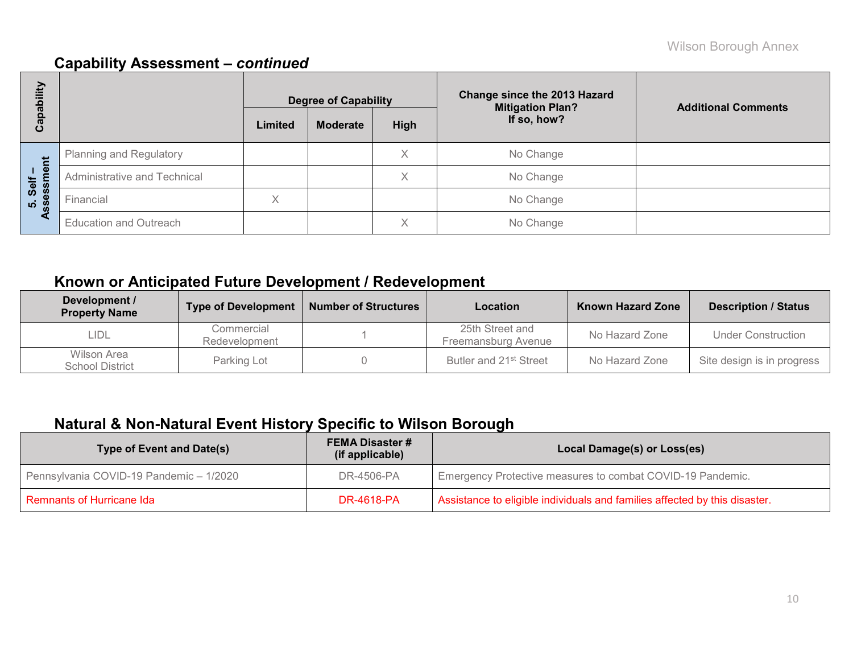| E<br>ᅙ            |                                |         | <b>Degree of Capability</b> |      | <b>Change since the 2013 Hazard</b><br><b>Mitigation Plan?</b> | <b>Additional Comments</b> |
|-------------------|--------------------------------|---------|-----------------------------|------|----------------------------------------------------------------|----------------------------|
| <u>թզ</u><br>ပိ   |                                | Limited | <b>Moderate</b>             | High | If so, how?                                                    |                            |
|                   | <b>Planning and Regulatory</b> |         |                             | Χ    | No Change                                                      |                            |
| Self –<br>essment | Administrative and Technical   |         |                             | Χ    | No Change                                                      |                            |
| <u>ທີ່ 8</u>      | Financial                      | Χ       |                             |      | No Change                                                      |                            |
| ⋖                 | <b>Education and Outreach</b>  |         |                             | Χ    | No Change                                                      |                            |

## **Known or Anticipated Future Development / Redevelopment**

| Development /<br><b>Property Name</b> | <b>Type of Development</b>  | <b>Number of Structures</b> | Location                               | <b>Known Hazard Zone</b> | <b>Description / Status</b> |
|---------------------------------------|-----------------------------|-----------------------------|----------------------------------------|--------------------------|-----------------------------|
| LIDL                                  | Commercial<br>Redevelopment |                             | 25th Street and<br>Freemansburg Avenue | No Hazard Zone           | Under Construction          |
| Wilson Area<br><b>School District</b> | Parking Lot                 |                             | Butler and 21 <sup>st</sup> Street     | No Hazard Zone           | Site design is in progress  |

## **Natural & Non-Natural Event History Specific to Wilson Borough**

| <b>Type of Event and Date(s)</b>        | <b>FEMA Disaster #</b><br>(if applicable) | Local Damage(s) or Loss(es)                                                |
|-----------------------------------------|-------------------------------------------|----------------------------------------------------------------------------|
| Pennsylvania COVID-19 Pandemic - 1/2020 | DR-4506-PA                                | Emergency Protective measures to combat COVID-19 Pandemic.                 |
| <b>Remnants of Hurricane Ida</b>        | <b>DR-4618-PA</b>                         | Assistance to eligible individuals and families affected by this disaster. |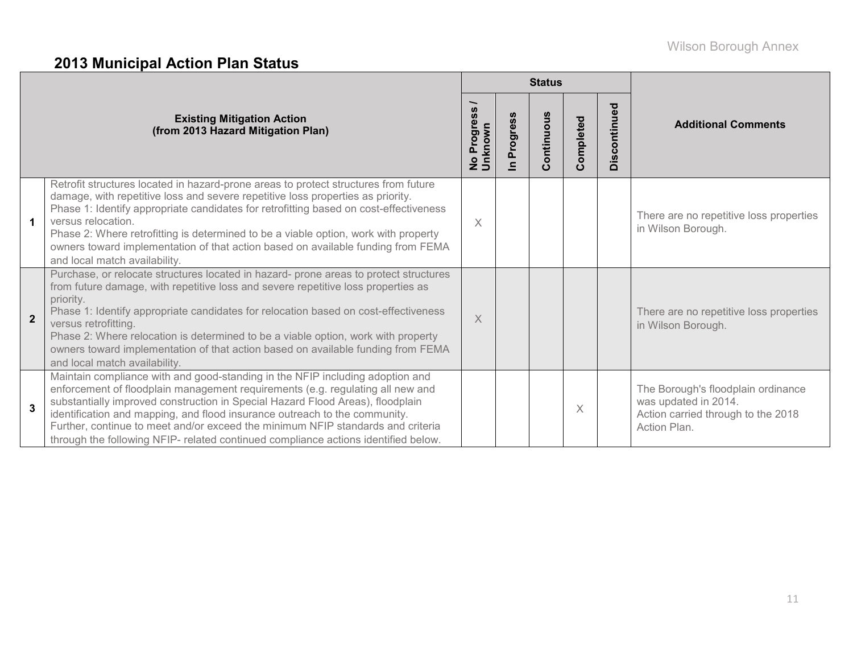# **2013 Municipal Action Plan Status**

|                |                                                                                                                                                                                                                                                                                                                                                                                                                                                                                                                  |                                     |                      | <b>Status</b> |           |              |                                                                                                                  |  |
|----------------|------------------------------------------------------------------------------------------------------------------------------------------------------------------------------------------------------------------------------------------------------------------------------------------------------------------------------------------------------------------------------------------------------------------------------------------------------------------------------------------------------------------|-------------------------------------|----------------------|---------------|-----------|--------------|------------------------------------------------------------------------------------------------------------------|--|
|                | <b>Existing Mitigation Action</b><br>(from 2013 Hazard Mitigation Plan)                                                                                                                                                                                                                                                                                                                                                                                                                                          | No Progress <sub>/</sub><br>Unknown | Progress<br>$\equiv$ | Continuous    | Completed | Discontinued | <b>Additional Comments</b>                                                                                       |  |
| 1              | Retrofit structures located in hazard-prone areas to protect structures from future<br>damage, with repetitive loss and severe repetitive loss properties as priority.<br>Phase 1: Identify appropriate candidates for retrofitting based on cost-effectiveness<br>versus relocation.<br>Phase 2: Where retrofitting is determined to be a viable option, work with property<br>owners toward implementation of that action based on available funding from FEMA<br>and local match availability.                | $\times$                            |                      |               |           |              | There are no repetitive loss properties<br>in Wilson Borough.                                                    |  |
| $\overline{2}$ | Purchase, or relocate structures located in hazard- prone areas to protect structures<br>from future damage, with repetitive loss and severe repetitive loss properties as<br>priority.<br>Phase 1: Identify appropriate candidates for relocation based on cost-effectiveness<br>versus retrofitting.<br>Phase 2: Where relocation is determined to be a viable option, work with property<br>owners toward implementation of that action based on available funding from FEMA<br>and local match availability. | $\times$                            |                      |               |           |              | There are no repetitive loss properties<br>in Wilson Borough.                                                    |  |
| $\mathbf{3}$   | Maintain compliance with and good-standing in the NFIP including adoption and<br>enforcement of floodplain management requirements (e.g. regulating all new and<br>substantially improved construction in Special Hazard Flood Areas), floodplain<br>identification and mapping, and flood insurance outreach to the community.<br>Further, continue to meet and/or exceed the minimum NFIP standards and criteria<br>through the following NFIP- related continued compliance actions identified below.         |                                     |                      |               | X         |              | The Borough's floodplain ordinance<br>was updated in 2014.<br>Action carried through to the 2018<br>Action Plan. |  |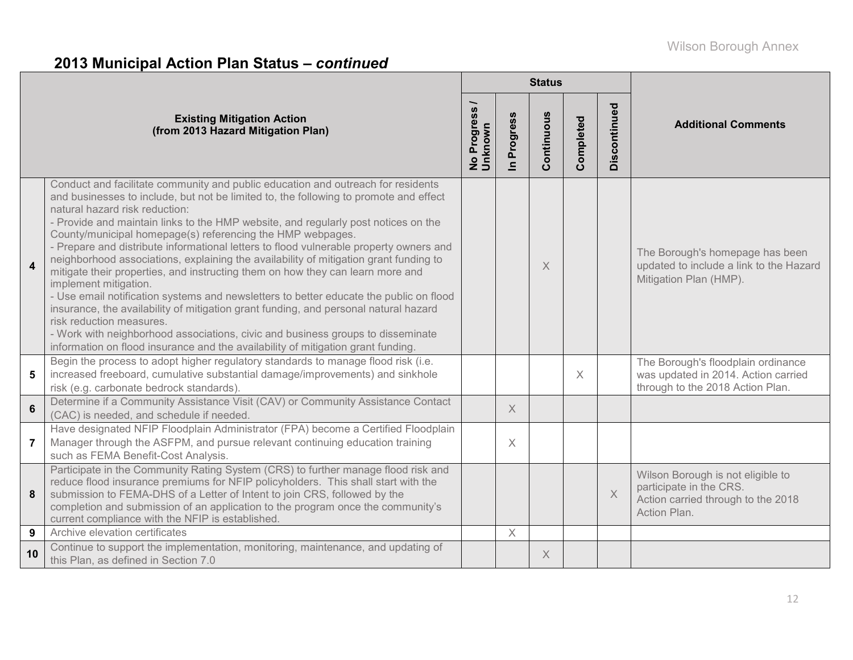# **2013 Municipal Action Plan Status –** *continued*

|                         |                                                                                                                                                                                                                                                                                                                                                                                                                                                                                                                                                                                                                                                                                                                                                                                                                                                                                                                                                                                                                                                    | <b>Status</b>            |             |            |           |              |                                                                                                                    |  |
|-------------------------|----------------------------------------------------------------------------------------------------------------------------------------------------------------------------------------------------------------------------------------------------------------------------------------------------------------------------------------------------------------------------------------------------------------------------------------------------------------------------------------------------------------------------------------------------------------------------------------------------------------------------------------------------------------------------------------------------------------------------------------------------------------------------------------------------------------------------------------------------------------------------------------------------------------------------------------------------------------------------------------------------------------------------------------------------|--------------------------|-------------|------------|-----------|--------------|--------------------------------------------------------------------------------------------------------------------|--|
|                         | <b>Existing Mitigation Action</b><br>(from 2013 Hazard Mitigation Plan)                                                                                                                                                                                                                                                                                                                                                                                                                                                                                                                                                                                                                                                                                                                                                                                                                                                                                                                                                                            | No Progress /<br>Unknown | In Progress | Continuous | Completed | Discontinued | <b>Additional Comments</b>                                                                                         |  |
| $\overline{\mathbf{4}}$ | Conduct and facilitate community and public education and outreach for residents<br>and businesses to include, but not be limited to, the following to promote and effect<br>natural hazard risk reduction:<br>- Provide and maintain links to the HMP website, and regularly post notices on the<br>County/municipal homepage(s) referencing the HMP webpages.<br>- Prepare and distribute informational letters to flood vulnerable property owners and<br>neighborhood associations, explaining the availability of mitigation grant funding to<br>mitigate their properties, and instructing them on how they can learn more and<br>implement mitigation.<br>- Use email notification systems and newsletters to better educate the public on flood<br>insurance, the availability of mitigation grant funding, and personal natural hazard<br>risk reduction measures.<br>- Work with neighborhood associations, civic and business groups to disseminate<br>information on flood insurance and the availability of mitigation grant funding. |                          |             | $\times$   |           |              | The Borough's homepage has been<br>updated to include a link to the Hazard<br>Mitigation Plan (HMP).               |  |
| 5                       | Begin the process to adopt higher regulatory standards to manage flood risk (i.e.<br>increased freeboard, cumulative substantial damage/improvements) and sinkhole<br>risk (e.g. carbonate bedrock standards).                                                                                                                                                                                                                                                                                                                                                                                                                                                                                                                                                                                                                                                                                                                                                                                                                                     |                          |             |            | $\times$  |              | The Borough's floodplain ordinance<br>was updated in 2014. Action carried<br>through to the 2018 Action Plan.      |  |
| $6\phantom{1}$          | Determine if a Community Assistance Visit (CAV) or Community Assistance Contact<br>(CAC) is needed, and schedule if needed.                                                                                                                                                                                                                                                                                                                                                                                                                                                                                                                                                                                                                                                                                                                                                                                                                                                                                                                        |                          | $\times$    |            |           |              |                                                                                                                    |  |
| $\overline{7}$          | Have designated NFIP Floodplain Administrator (FPA) become a Certified Floodplain<br>Manager through the ASFPM, and pursue relevant continuing education training<br>such as FEMA Benefit-Cost Analysis.                                                                                                                                                                                                                                                                                                                                                                                                                                                                                                                                                                                                                                                                                                                                                                                                                                           |                          | $\times$    |            |           |              |                                                                                                                    |  |
| 8                       | Participate in the Community Rating System (CRS) to further manage flood risk and<br>reduce flood insurance premiums for NFIP policyholders. This shall start with the<br>submission to FEMA-DHS of a Letter of Intent to join CRS, followed by the<br>completion and submission of an application to the program once the community's<br>current compliance with the NFIP is established.                                                                                                                                                                                                                                                                                                                                                                                                                                                                                                                                                                                                                                                         |                          |             |            |           | $\mathsf X$  | Wilson Borough is not eligible to<br>participate in the CRS.<br>Action carried through to the 2018<br>Action Plan. |  |
| 9                       | Archive elevation certificates                                                                                                                                                                                                                                                                                                                                                                                                                                                                                                                                                                                                                                                                                                                                                                                                                                                                                                                                                                                                                     |                          | $\times$    |            |           |              |                                                                                                                    |  |
| 10                      | Continue to support the implementation, monitoring, maintenance, and updating of<br>this Plan, as defined in Section 7.0                                                                                                                                                                                                                                                                                                                                                                                                                                                                                                                                                                                                                                                                                                                                                                                                                                                                                                                           |                          |             | X          |           |              |                                                                                                                    |  |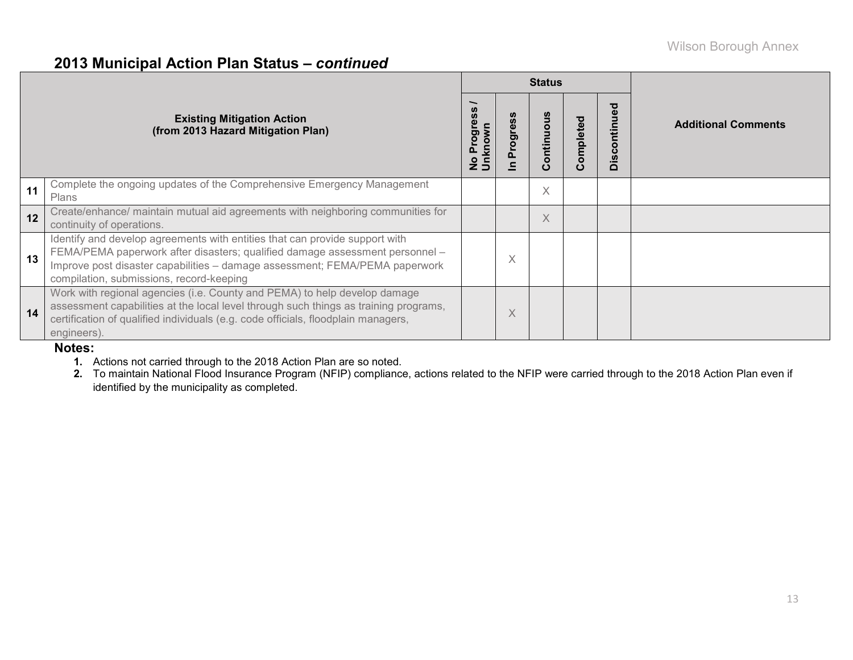### **2013 Municipal Action Plan Status –** *continued*

|    |                                                                                                                                                                                                                                                                                        |                                  |                      | <b>Status</b> |           |                                                            |                            |
|----|----------------------------------------------------------------------------------------------------------------------------------------------------------------------------------------------------------------------------------------------------------------------------------------|----------------------------------|----------------------|---------------|-----------|------------------------------------------------------------|----------------------------|
|    | <b>Existing Mitigation Action</b><br>(from 2013 Hazard Mitigation Plan)                                                                                                                                                                                                                | Progress<br>No Progre<br>Unknown | ပ္ပိ<br>Progres<br>≘ | Continuous    | Completed | ъ<br>Ō<br>$\mathbf{c}$<br>$\tilde{\mathbf{v}}$<br>$\Omega$ | <b>Additional Comments</b> |
| 11 | Complete the ongoing updates of the Comprehensive Emergency Management<br>Plans                                                                                                                                                                                                        |                                  |                      | $\times$      |           |                                                            |                            |
| 12 | Create/enhance/ maintain mutual aid agreements with neighboring communities for<br>continuity of operations.                                                                                                                                                                           |                                  |                      | $\times$      |           |                                                            |                            |
| 13 | Identify and develop agreements with entities that can provide support with<br>FEMA/PEMA paperwork after disasters; qualified damage assessment personnel -<br>Improve post disaster capabilities - damage assessment; FEMA/PEMA paperwork<br>compilation, submissions, record-keeping |                                  | X                    |               |           |                                                            |                            |
| 14 | Work with regional agencies (i.e. County and PEMA) to help develop damage<br>assessment capabilities at the local level through such things as training programs,<br>certification of qualified individuals (e.g. code officials, floodplain managers,<br>engineers).                  |                                  | X                    |               |           |                                                            |                            |

#### **Notes:**

**1.** Actions not carried through to the 2018 Action Plan are so noted.

**2.** To maintain National Flood Insurance Program (NFIP) compliance, actions related to the NFIP were carried through to the 2018 Action Plan even if identified by the municipality as completed.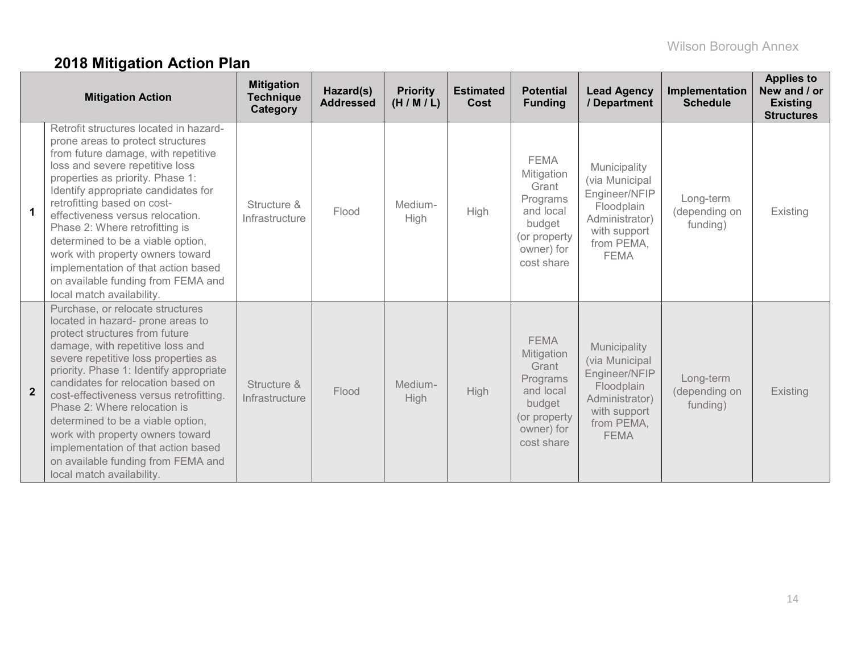# **2018 Mitigation Action Plan**

|                | <b>Mitigation Action</b>                                                                                                                                                                                                                                                                                                                                                                                                                                                                                                           | <b>Mitigation</b><br><b>Technique</b><br>Category | Hazard(s)<br><b>Addressed</b> | <b>Priority</b><br>(H/M/L) | <b>Estimated</b><br>Cost | <b>Potential</b><br><b>Funding</b>                                                                                | <b>Lead Agency</b><br>/ Department                                                                                           | Implementation<br><b>Schedule</b>      | <b>Applies to</b><br>New and / or<br><b>Existing</b><br><b>Structures</b> |
|----------------|------------------------------------------------------------------------------------------------------------------------------------------------------------------------------------------------------------------------------------------------------------------------------------------------------------------------------------------------------------------------------------------------------------------------------------------------------------------------------------------------------------------------------------|---------------------------------------------------|-------------------------------|----------------------------|--------------------------|-------------------------------------------------------------------------------------------------------------------|------------------------------------------------------------------------------------------------------------------------------|----------------------------------------|---------------------------------------------------------------------------|
| $\mathbf 1$    | Retrofit structures located in hazard-<br>prone areas to protect structures<br>from future damage, with repetitive<br>loss and severe repetitive loss<br>properties as priority. Phase 1:<br>Identify appropriate candidates for<br>retrofitting based on cost-<br>effectiveness versus relocation.<br>Phase 2: Where retrofitting is<br>determined to be a viable option,<br>work with property owners toward<br>implementation of that action based<br>on available funding from FEMA and<br>local match availability.           | Structure &<br>Infrastructure                     | Flood                         | Medium-<br>High            | High                     | <b>FEMA</b><br>Mitigation<br>Grant<br>Programs<br>and local<br>budget<br>(or property<br>owner) for<br>cost share | Municipality<br>(via Municipal<br>Engineer/NFIP<br>Floodplain<br>Administrator)<br>with support<br>from PEMA,<br><b>FEMA</b> | Long-term<br>(depending on<br>funding) | Existing                                                                  |
| $\overline{2}$ | Purchase, or relocate structures<br>located in hazard- prone areas to<br>protect structures from future<br>damage, with repetitive loss and<br>severe repetitive loss properties as<br>priority. Phase 1: Identify appropriate<br>candidates for relocation based on<br>cost-effectiveness versus retrofitting.<br>Phase 2: Where relocation is<br>determined to be a viable option,<br>work with property owners toward<br>implementation of that action based<br>on available funding from FEMA and<br>local match availability. | Structure &<br>Infrastructure                     | Flood                         | Medium-<br>High            | <b>High</b>              | <b>FEMA</b><br>Mitigation<br>Grant<br>Programs<br>and local<br>budget<br>(or property<br>owner) for<br>cost share | Municipality<br>(via Municipal<br>Engineer/NFIP<br>Floodplain<br>Administrator)<br>with support<br>from PEMA,<br><b>FEMA</b> | Long-term<br>(depending on<br>funding) | Existing                                                                  |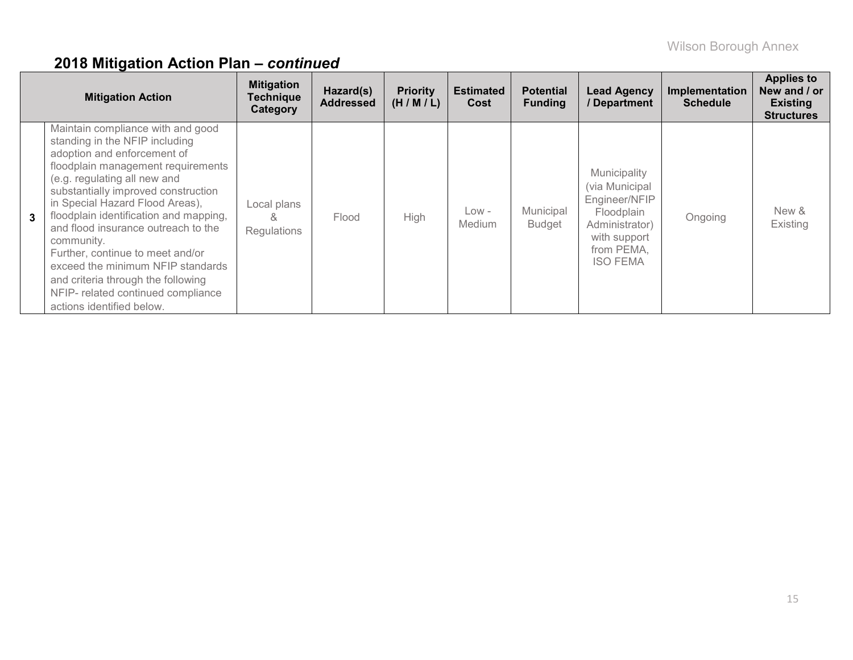|              | <b>Mitigation Action</b>                                                                                                                                                                                                                                                                                                                                                                                                                                                                                                            | <b>Mitigation</b><br><b>Technique</b><br>Category | Hazard(s)<br><b>Addressed</b> | <b>Priority</b><br>(H/M/L) | <b>Estimated</b><br>Cost | <b>Potential</b><br><b>Funding</b> | <b>Lead Agency</b><br>/ Department                                                                                               | Implementation<br><b>Schedule</b> | <b>Applies to</b><br>New and / or<br><b>Existing</b><br><b>Structures</b> |
|--------------|-------------------------------------------------------------------------------------------------------------------------------------------------------------------------------------------------------------------------------------------------------------------------------------------------------------------------------------------------------------------------------------------------------------------------------------------------------------------------------------------------------------------------------------|---------------------------------------------------|-------------------------------|----------------------------|--------------------------|------------------------------------|----------------------------------------------------------------------------------------------------------------------------------|-----------------------------------|---------------------------------------------------------------------------|
| $\mathbf{3}$ | Maintain compliance with and good<br>standing in the NFIP including<br>adoption and enforcement of<br>floodplain management requirements<br>(e.g. regulating all new and<br>substantially improved construction<br>in Special Hazard Flood Areas),<br>floodplain identification and mapping,<br>and flood insurance outreach to the<br>community.<br>Further, continue to meet and/or<br>exceed the minimum NFIP standards<br>and criteria through the following<br>NFIP- related continued compliance<br>actions identified below. | Local plans<br>&<br><b>Regulations</b>            | Flood                         | High                       | Low -<br><b>Medium</b>   | Municipal<br><b>Budget</b>         | Municipality<br>(via Municipal<br>Engineer/NFIP<br>Floodplain<br>Administrator)<br>with support<br>from PEMA,<br><b>ISO FEMA</b> | Ongoing                           | New &<br>Existing                                                         |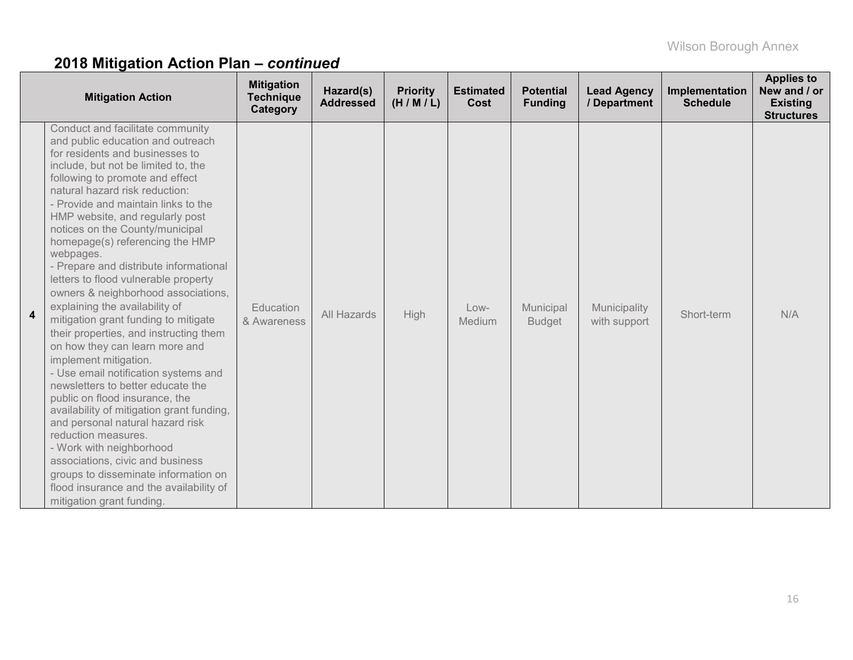|   | <b>Mitigation Action</b>                                                                                                                                                                                                                                                                                                                                                                                                                                                                                                                                                                                                                                                                                                                                                                                                                                                                                                                                                                                                                                                                         | <b>Mitigation</b><br><b>Technique</b><br>Category | Hazard(s)<br><b>Addressed</b> | <b>Priority</b><br>(H/M/L) | <b>Estimated</b><br>Cost | <b>Potential</b><br><b>Funding</b> | <b>Lead Agency</b><br>/ Department | Implementation<br><b>Schedule</b> | <b>Applies to</b><br>New and / or<br><b>Existing</b><br><b>Structures</b> |
|---|--------------------------------------------------------------------------------------------------------------------------------------------------------------------------------------------------------------------------------------------------------------------------------------------------------------------------------------------------------------------------------------------------------------------------------------------------------------------------------------------------------------------------------------------------------------------------------------------------------------------------------------------------------------------------------------------------------------------------------------------------------------------------------------------------------------------------------------------------------------------------------------------------------------------------------------------------------------------------------------------------------------------------------------------------------------------------------------------------|---------------------------------------------------|-------------------------------|----------------------------|--------------------------|------------------------------------|------------------------------------|-----------------------------------|---------------------------------------------------------------------------|
| 4 | Conduct and facilitate community<br>and public education and outreach<br>for residents and businesses to<br>include, but not be limited to, the<br>following to promote and effect<br>natural hazard risk reduction:<br>- Provide and maintain links to the<br>HMP website, and regularly post<br>notices on the County/municipal<br>homepage(s) referencing the HMP<br>webpages.<br>- Prepare and distribute informational<br>letters to flood vulnerable property<br>owners & neighborhood associations,<br>explaining the availability of<br>mitigation grant funding to mitigate<br>their properties, and instructing them<br>on how they can learn more and<br>implement mitigation.<br>- Use email notification systems and<br>newsletters to better educate the<br>public on flood insurance, the<br>availability of mitigation grant funding,<br>and personal natural hazard risk<br>reduction measures.<br>- Work with neighborhood<br>associations, civic and business<br>groups to disseminate information on<br>flood insurance and the availability of<br>mitigation grant funding. | Education<br>& Awareness                          | All Hazards                   | High                       | Low-<br>Medium           | Municipal<br><b>Budget</b>         | Municipality<br>with support       | Short-term                        | N/A                                                                       |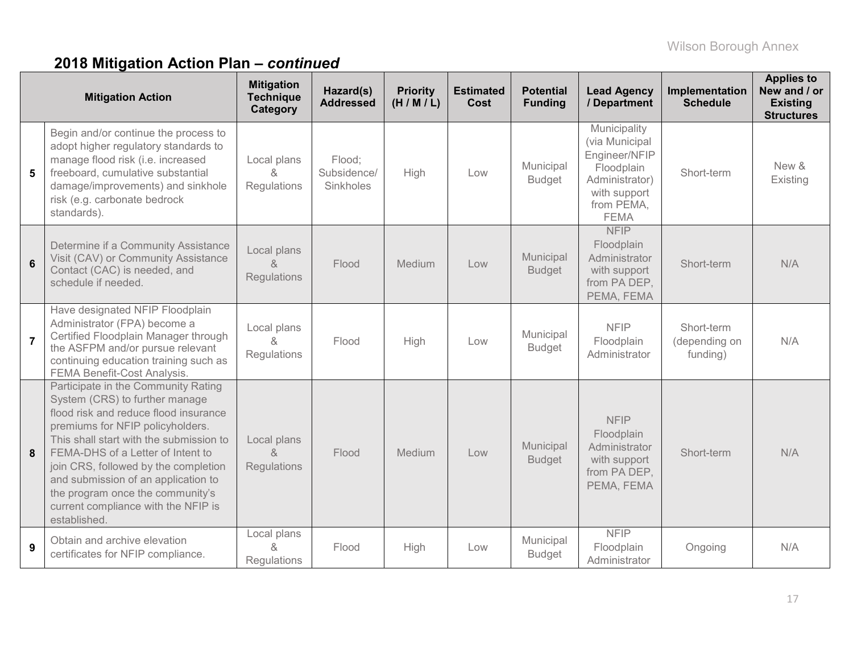|                | <b>Mitigation Action</b>                                                                                                                                                                                                                                                                                                                                                                                     | <b>Mitigation</b><br><b>Technique</b><br>Category | Hazard(s)<br><b>Addressed</b>      | <b>Priority</b><br>(H/M/L) | <b>Estimated</b><br><b>Cost</b> | <b>Potential</b><br><b>Funding</b> | <b>Lead Agency</b><br>/ Department                                                                                           | Implementation<br><b>Schedule</b>       | <b>Applies to</b><br>New and / or<br><b>Existing</b><br><b>Structures</b> |
|----------------|--------------------------------------------------------------------------------------------------------------------------------------------------------------------------------------------------------------------------------------------------------------------------------------------------------------------------------------------------------------------------------------------------------------|---------------------------------------------------|------------------------------------|----------------------------|---------------------------------|------------------------------------|------------------------------------------------------------------------------------------------------------------------------|-----------------------------------------|---------------------------------------------------------------------------|
| 5              | Begin and/or continue the process to<br>adopt higher regulatory standards to<br>manage flood risk (i.e. increased<br>freeboard, cumulative substantial<br>damage/improvements) and sinkhole<br>risk (e.g. carbonate bedrock<br>standards).                                                                                                                                                                   | Local plans<br>&<br>Regulations                   | Flood;<br>Subsidence/<br>Sinkholes | High                       | Low                             | Municipal<br><b>Budget</b>         | Municipality<br>(via Municipal<br>Engineer/NFIP<br>Floodplain<br>Administrator)<br>with support<br>from PEMA,<br><b>FEMA</b> | Short-term                              | New &<br>Existing                                                         |
| $6\phantom{1}$ | Determine if a Community Assistance<br>Visit (CAV) or Community Assistance<br>Contact (CAC) is needed, and<br>schedule if needed.                                                                                                                                                                                                                                                                            | Local plans<br>&<br>Regulations                   | Flood                              | Medium                     | Low                             | Municipal<br><b>Budget</b>         | <b>NFIP</b><br>Floodplain<br>Administrator<br>with support<br>from PA DEP,<br>PEMA, FEMA                                     | Short-term                              | N/A                                                                       |
| $\overline{7}$ | Have designated NFIP Floodplain<br>Administrator (FPA) become a<br>Certified Floodplain Manager through<br>the ASFPM and/or pursue relevant<br>continuing education training such as<br>FEMA Benefit-Cost Analysis.                                                                                                                                                                                          | Local plans<br>$\lambda$<br>Regulations           | Flood                              | High                       | Low                             | Municipal<br><b>Budget</b>         | <b>NFIP</b><br>Floodplain<br>Administrator                                                                                   | Short-term<br>(depending on<br>funding) | N/A                                                                       |
| 8              | Participate in the Community Rating<br>System (CRS) to further manage<br>flood risk and reduce flood insurance<br>premiums for NFIP policyholders.<br>This shall start with the submission to<br>FEMA-DHS of a Letter of Intent to<br>join CRS, followed by the completion<br>and submission of an application to<br>the program once the community's<br>current compliance with the NFIP is<br>established. | Local plans<br>$\alpha$<br>Regulations            | Flood                              | Medium                     | Low                             | Municipal<br><b>Budget</b>         | <b>NFIP</b><br>Floodplain<br>Administrator<br>with support<br>from PA DEP,<br>PEMA, FEMA                                     | Short-term                              | N/A                                                                       |
| 9              | Obtain and archive elevation<br>certificates for NFIP compliance.                                                                                                                                                                                                                                                                                                                                            | Local plans<br>&<br>Regulations                   | Flood                              | High                       | Low                             | Municipal<br><b>Budget</b>         | <b>NFIP</b><br>Floodplain<br>Administrator                                                                                   | Ongoing                                 | N/A                                                                       |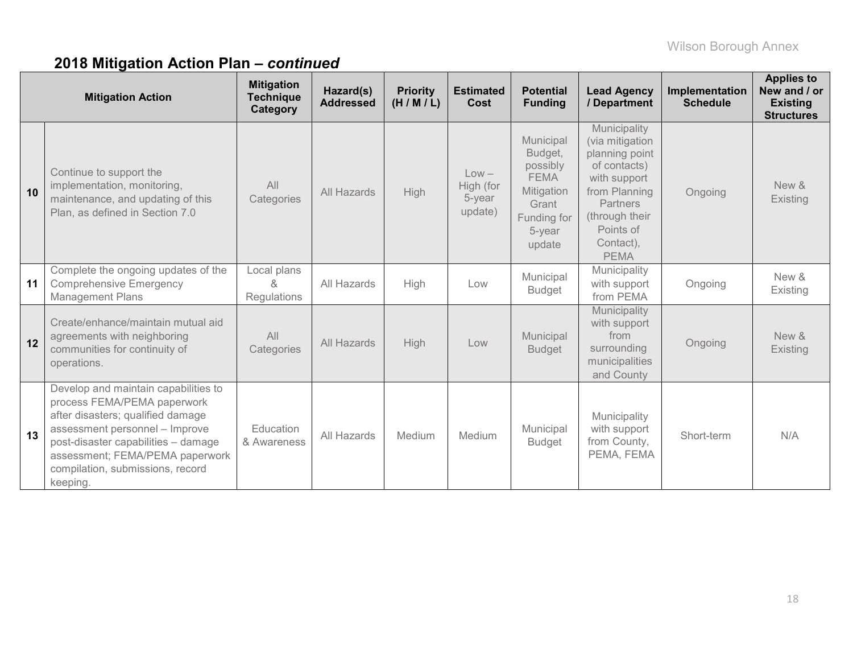|    | <b>Mitigation Action</b>                                                                                                                                                                                                                                             | <b>Mitigation</b><br><b>Technique</b><br>Category | Hazard(s)<br><b>Addressed</b> | <b>Priority</b><br>(H/M/L) | <b>Estimated</b><br>Cost                  | <b>Potential</b><br><b>Funding</b>                                                                        | <b>Lead Agency</b><br>/ Department                                                                                                                                        | Implementation<br><b>Schedule</b> | <b>Applies to</b><br>New and / or<br><b>Existing</b><br><b>Structures</b> |
|----|----------------------------------------------------------------------------------------------------------------------------------------------------------------------------------------------------------------------------------------------------------------------|---------------------------------------------------|-------------------------------|----------------------------|-------------------------------------------|-----------------------------------------------------------------------------------------------------------|---------------------------------------------------------------------------------------------------------------------------------------------------------------------------|-----------------------------------|---------------------------------------------------------------------------|
| 10 | Continue to support the<br>implementation, monitoring,<br>maintenance, and updating of this<br>Plan, as defined in Section 7.0                                                                                                                                       | All<br>Categories                                 | All Hazards                   | High                       | $Low -$<br>High (for<br>5-year<br>update) | Municipal<br>Budget,<br>possibly<br><b>FEMA</b><br>Mitigation<br>Grant<br>Funding for<br>5-year<br>update | Municipality<br>(via mitigation<br>planning point<br>of contacts)<br>with support<br>from Planning<br>Partners<br>(through their<br>Points of<br>Contact),<br><b>PEMA</b> | Ongoing                           | New &<br>Existing                                                         |
| 11 | Complete the ongoing updates of the<br><b>Comprehensive Emergency</b><br><b>Management Plans</b>                                                                                                                                                                     | Local plans<br>&<br><b>Regulations</b>            | All Hazards                   | High                       | Low                                       | Municipal<br><b>Budget</b>                                                                                | Municipality<br>with support<br>from PEMA                                                                                                                                 | Ongoing                           | New &<br>Existing                                                         |
| 12 | Create/enhance/maintain mutual aid<br>agreements with neighboring<br>communities for continuity of<br>operations.                                                                                                                                                    | All<br>Categories                                 | All Hazards                   | High                       | Low                                       | Municipal<br><b>Budget</b>                                                                                | Municipality<br>with support<br>from<br>surrounding<br>municipalities<br>and County                                                                                       | Ongoing                           | New &<br><b>Existing</b>                                                  |
| 13 | Develop and maintain capabilities to<br>process FEMA/PEMA paperwork<br>after disasters; qualified damage<br>assessment personnel - Improve<br>post-disaster capabilities - damage<br>assessment; FEMA/PEMA paperwork<br>compilation, submissions, record<br>keeping. | Education<br>& Awareness                          | All Hazards                   | Medium                     | Medium                                    | Municipal<br><b>Budget</b>                                                                                | Municipality<br>with support<br>from County,<br>PEMA, FEMA                                                                                                                | Short-term                        | N/A                                                                       |